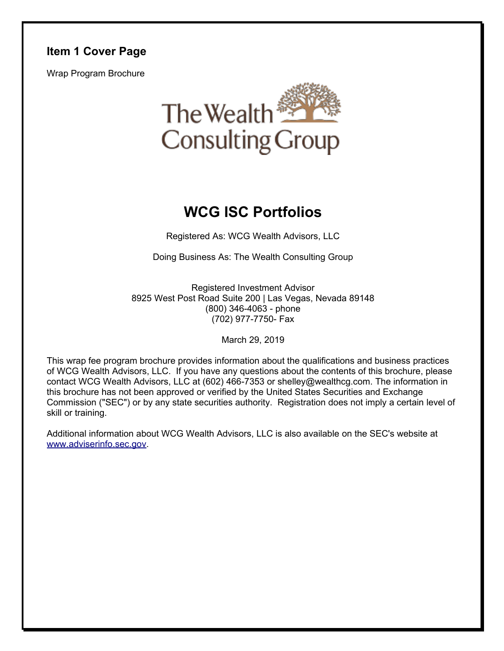## **Item 1 Cover Page**

Wrap Program Brochure



# **WCG ISC Portfolios**

Registered As: WCG Wealth Advisors, LLC

Doing Business As: The Wealth Consulting Group

Registered Investment Advisor 8925 West Post Road Suite 200 | Las Vegas, Nevada 89148 (800) 346-4063 - phone (702) 977-7750- Fax

March 29, 2019

This wrap fee program brochure provides information about the qualifications and business practices of WCG Wealth Advisors, LLC. If you have any questions about the contents of this brochure, please contact WCG Wealth Advisors, LLC at (602) 466-7353 or shelley@wealthcg.com. The information in this brochure has not been approved or verified by the United States Securities and Exchange Commission ("SEC") or by any state securities authority. Registration does not imply a certain level of skill or training.

Additional information about WCG Wealth Advisors, LLC is also available on the SEC's website at [www.adviserinfo.sec.gov.](http://www.adviserinfo.sec.gov/)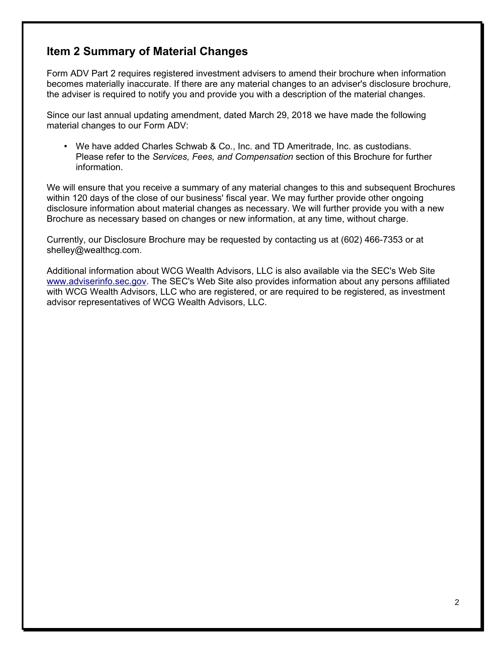## **Item 2 Summary of Material Changes**

Form ADV Part 2 requires registered investment advisers to amend their brochure when information becomes materially inaccurate. If there are any material changes to an adviser's disclosure brochure, the adviser is required to notify you and provide you with a description of the material changes.

Since our last annual updating amendment, dated March 29, 2018 we have made the following material changes to our Form ADV:

• We have added Charles Schwab & Co., Inc. and TD Ameritrade, Inc. as custodians. Please refer to the *Services, Fees, and Compensation* section of this Brochure for further information.

We will ensure that you receive a summary of any material changes to this and subsequent Brochures within 120 days of the close of our business' fiscal year. We may further provide other ongoing disclosure information about material changes as necessary. We will further provide you with a new Brochure as necessary based on changes or new information, at any time, without charge.

Currently, our Disclosure Brochure may be requested by contacting us at (602) 466-7353 or at shelley@wealthcg.com.

Additional information about WCG Wealth Advisors, LLC is also available via the SEC's Web Site [www.adviserinfo.sec.gov.](http://www.adviserinfo.sec.gov/) The SEC's Web Site also provides information about any persons affiliated with WCG Wealth Advisors, LLC who are registered, or are required to be registered, as investment advisor representatives of WCG Wealth Advisors, LLC.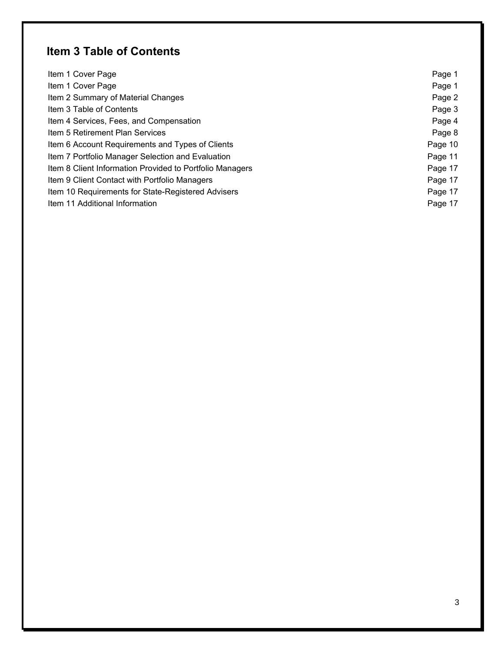# **Item 3 Table of Contents**

| Item 1 Cover Page                                        | Page 1  |
|----------------------------------------------------------|---------|
| Item 1 Cover Page                                        | Page 1  |
| Item 2 Summary of Material Changes                       | Page 2  |
| Item 3 Table of Contents                                 | Page 3  |
| Item 4 Services, Fees, and Compensation                  | Page 4  |
| Item 5 Retirement Plan Services                          | Page 8  |
| Item 6 Account Requirements and Types of Clients         | Page 10 |
| Item 7 Portfolio Manager Selection and Evaluation        | Page 11 |
| Item 8 Client Information Provided to Portfolio Managers | Page 17 |
| Item 9 Client Contact with Portfolio Managers            | Page 17 |
| Item 10 Requirements for State-Registered Advisers       | Page 17 |
| Item 11 Additional Information                           | Page 17 |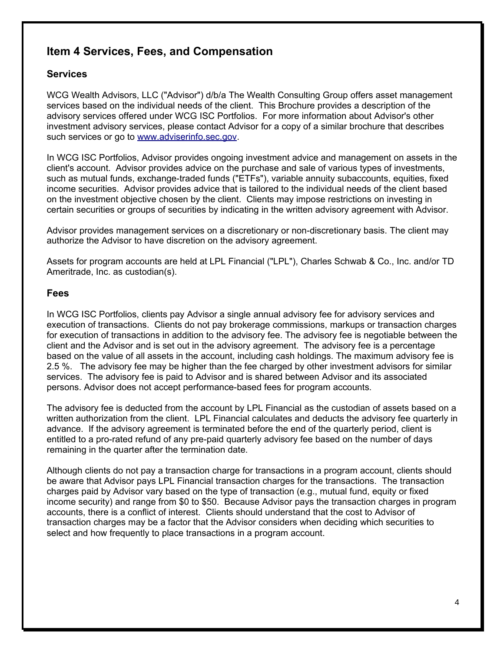## **Item 4 Services, Fees, and Compensation**

## **Services**

WCG Wealth Advisors, LLC ("Advisor") d/b/a The Wealth Consulting Group offers asset management services based on the individual needs of the client. This Brochure provides a description of the advisory services offered under WCG ISC Portfolios. For more information about Advisor's other investment advisory services, please contact Advisor for a copy of a similar brochure that describes such services or go to [www.adviserinfo.sec.gov.](http://www.adviserinfo.sec.gov/)

In WCG ISC Portfolios, Advisor provides ongoing investment advice and management on assets in the client's account. Advisor provides advice on the purchase and sale of various types of investments, such as mutual funds, exchange-traded funds ("ETFs"), variable annuity subaccounts, equities, fixed income securities. Advisor provides advice that is tailored to the individual needs of the client based on the investment objective chosen by the client. Clients may impose restrictions on investing in certain securities or groups of securities by indicating in the written advisory agreement with Advisor.

Advisor provides management services on a discretionary or non-discretionary basis. The client may authorize the Advisor to have discretion on the advisory agreement.

Assets for program accounts are held at LPL Financial ("LPL"), Charles Schwab & Co., Inc. and/or TD Ameritrade, Inc. as custodian(s).

### **Fees**

In WCG ISC Portfolios, clients pay Advisor a single annual advisory fee for advisory services and execution of transactions. Clients do not pay brokerage commissions, markups or transaction charges for execution of transactions in addition to the advisory fee. The advisory fee is negotiable between the client and the Advisor and is set out in the advisory agreement. The advisory fee is a percentage based on the value of all assets in the account, including cash holdings. The maximum advisory fee is 2.5 %. The advisory fee may be higher than the fee charged by other investment advisors for similar services. The advisory fee is paid to Advisor and is shared between Advisor and its associated persons. Advisor does not accept performance-based fees for program accounts.

The advisory fee is deducted from the account by LPL Financial as the custodian of assets based on a written authorization from the client. LPL Financial calculates and deducts the advisory fee quarterly in advance. If the advisory agreement is terminated before the end of the quarterly period, client is entitled to a pro-rated refund of any pre-paid quarterly advisory fee based on the number of days remaining in the quarter after the termination date.

Although clients do not pay a transaction charge for transactions in a program account, clients should be aware that Advisor pays LPL Financial transaction charges for the transactions. The transaction charges paid by Advisor vary based on the type of transaction (e.g., mutual fund, equity or fixed income security) and range from \$0 to \$50. Because Advisor pays the transaction charges in program accounts, there is a conflict of interest. Clients should understand that the cost to Advisor of transaction charges may be a factor that the Advisor considers when deciding which securities to select and how frequently to place transactions in a program account.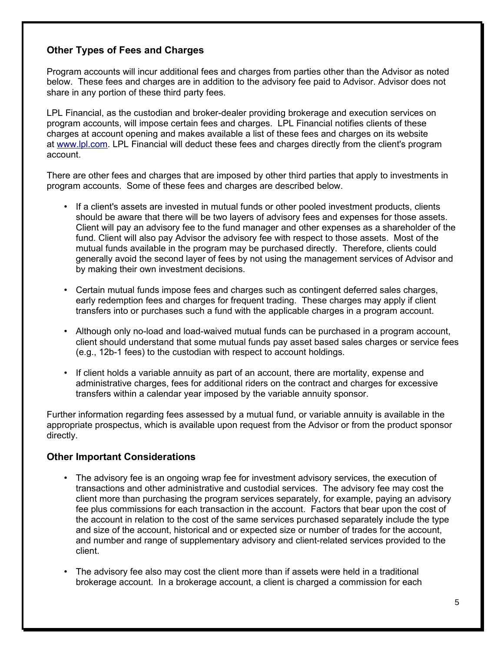## **Other Types of Fees and Charges**

Program accounts will incur additional fees and charges from parties other than the Advisor as noted below. These fees and charges are in addition to the advisory fee paid to Advisor. Advisor does not share in any portion of these third party fees.

LPL Financial, as the custodian and broker-dealer providing brokerage and execution services on program accounts, will impose certain fees and charges. LPL Financial notifies clients of these charges at account opening and makes available a list of these fees and charges on its website at [www.lpl.com.](http://www.lpl.com/) LPL Financial will deduct these fees and charges directly from the client's program account.

There are other fees and charges that are imposed by other third parties that apply to investments in program accounts. Some of these fees and charges are described below.

- If a client's assets are invested in mutual funds or other pooled investment products, clients should be aware that there will be two layers of advisory fees and expenses for those assets. Client will pay an advisory fee to the fund manager and other expenses as a shareholder of the fund. Client will also pay Advisor the advisory fee with respect to those assets. Most of the mutual funds available in the program may be purchased directly. Therefore, clients could generally avoid the second layer of fees by not using the management services of Advisor and by making their own investment decisions.
- Certain mutual funds impose fees and charges such as contingent deferred sales charges, early redemption fees and charges for frequent trading. These charges may apply if client transfers into or purchases such a fund with the applicable charges in a program account.
- Although only no-load and load-waived mutual funds can be purchased in a program account, client should understand that some mutual funds pay asset based sales charges or service fees (e.g., 12b-1 fees) to the custodian with respect to account holdings.
- If client holds a variable annuity as part of an account, there are mortality, expense and administrative charges, fees for additional riders on the contract and charges for excessive transfers within a calendar year imposed by the variable annuity sponsor.

Further information regarding fees assessed by a mutual fund, or variable annuity is available in the appropriate prospectus, which is available upon request from the Advisor or from the product sponsor directly.

## **Other Important Considerations**

- The advisory fee is an ongoing wrap fee for investment advisory services, the execution of transactions and other administrative and custodial services. The advisory fee may cost the client more than purchasing the program services separately, for example, paying an advisory fee plus commissions for each transaction in the account. Factors that bear upon the cost of the account in relation to the cost of the same services purchased separately include the type and size of the account, historical and or expected size or number of trades for the account, and number and range of supplementary advisory and client-related services provided to the client.
- The advisory fee also may cost the client more than if assets were held in a traditional brokerage account. In a brokerage account, a client is charged a commission for each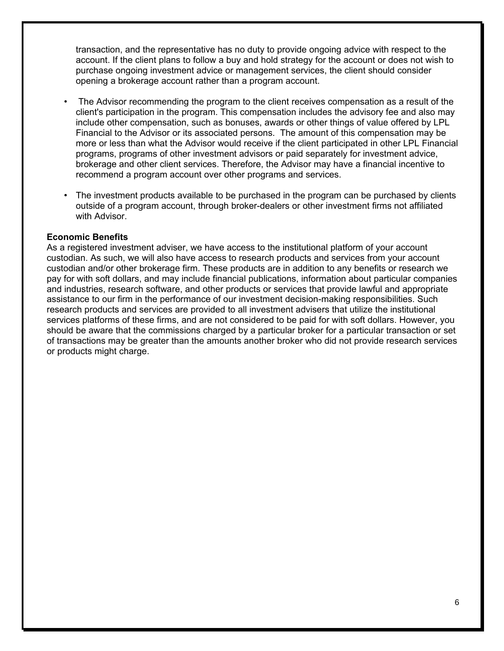transaction, and the representative has no duty to provide ongoing advice with respect to the account. If the client plans to follow a buy and hold strategy for the account or does not wish to purchase ongoing investment advice or management services, the client should consider opening a brokerage account rather than a program account.

- The Advisor recommending the program to the client receives compensation as a result of the client's participation in the program. This compensation includes the advisory fee and also may include other compensation, such as bonuses, awards or other things of value offered by LPL Financial to the Advisor or its associated persons. The amount of this compensation may be more or less than what the Advisor would receive if the client participated in other LPL Financial programs, programs of other investment advisors or paid separately for investment advice, brokerage and other client services. Therefore, the Advisor may have a financial incentive to recommend a program account over other programs and services.
- The investment products available to be purchased in the program can be purchased by clients outside of a program account, through broker-dealers or other investment firms not affiliated with Advisor.

#### **Economic Benefits**

As a registered investment adviser, we have access to the institutional platform of your account custodian. As such, we will also have access to research products and services from your account custodian and/or other brokerage firm. These products are in addition to any benefits or research we pay for with soft dollars, and may include financial publications, information about particular companies and industries, research software, and other products or services that provide lawful and appropriate assistance to our firm in the performance of our investment decision-making responsibilities. Such research products and services are provided to all investment advisers that utilize the institutional services platforms of these firms, and are not considered to be paid for with soft dollars. However, you should be aware that the commissions charged by a particular broker for a particular transaction or set of transactions may be greater than the amounts another broker who did not provide research services or products might charge.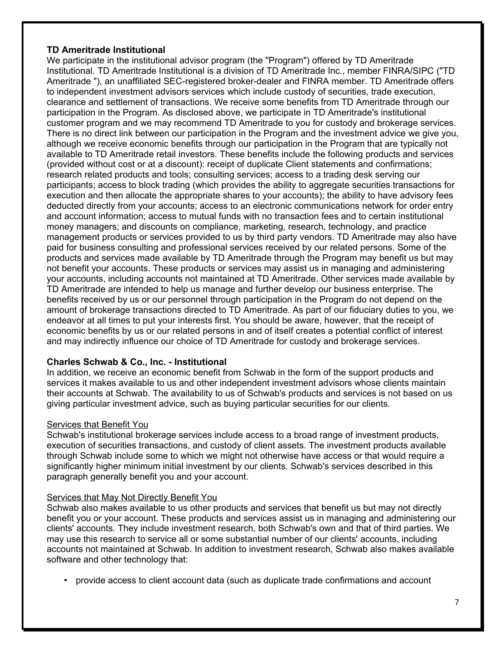### **TD Ameritrade Institutional**

We participate in the institutional advisor program (the "Program") offered by TD Ameritrade Institutional. TD Ameritrade Institutional is a division of TD Ameritrade Inc., member FINRA/SIPC ("TD Ameritrade "), an unaffiliated SEC-registered broker-dealer and FINRA member. TD Ameritrade offers to independent investment advisors services which include custody of securities, trade execution, clearance and settlement of transactions. We receive some benefits from TD Ameritrade through our participation in the Program. As disclosed above, we participate in TD Ameritrade's institutional customer program and we may recommend TD Ameritrade to you for custody and brokerage services. There is no direct link between our participation in the Program and the investment advice we give you, although we receive economic benefits through our participation in the Program that are typically not available to TD Ameritrade retail investors. These benefits include the following products and services (provided without cost or at a discount): receipt of duplicate Client statements and confirmations; research related products and tools; consulting services; access to a trading desk serving our participants; access to block trading (which provides the ability to aggregate securities transactions for execution and then allocate the appropriate shares to your accounts); the ability to have advisory fees deducted directly from your accounts; access to an electronic communications network for order entry and account information; access to mutual funds with no transaction fees and to certain institutional money managers; and discounts on compliance, marketing, research, technology, and practice management products or services provided to us by third party vendors. TD Ameritrade may also have paid for business consulting and professional services received by our related persons. Some of the products and services made available by TD Ameritrade through the Program may benefit us but may not benefit your accounts. These products or services may assist us in managing and administering your accounts, including accounts not maintained at TD Ameritrade. Other services made available by TD Ameritrade are intended to help us manage and further develop our business enterprise. The benefits received by us or our personnel through participation in the Program do not depend on the amount of brokerage transactions directed to TD Ameritrade. As part of our fiduciary duties to you, we endeavor at all times to put your interests first. You should be aware, however, that the receipt of economic benefits by us or our related persons in and of itself creates a potential conflict of interest and may indirectly influence our choice of TD Ameritrade for custody and brokerage services.

## **Charles Schwab & Co., Inc. - Institutional**

In addition, we receive an economic benefit from Schwab in the form of the support products and services it makes available to us and other independent investment advisors whose clients maintain their accounts at Schwab. The availability to us of Schwab's products and services is not based on us giving particular investment advice, such as buying particular securities for our clients.

### Services that Benefit You

Schwab's institutional brokerage services include access to a broad range of investment products, execution of securities transactions, and custody of client assets. The investment products available through Schwab include some to which we might not otherwise have access or that would require a significantly higher minimum initial investment by our clients. Schwab's services described in this paragraph generally benefit you and your account.

### Services that May Not Directly Benefit You

Schwab also makes available to us other products and services that benefit us but may not directly benefit you or your account. These products and services assist us in managing and administering our clients' accounts. They include investment research, both Schwab's own and that of third parties. We may use this research to service all or some substantial number of our clients' accounts, including accounts not maintained at Schwab. In addition to investment research, Schwab also makes available software and other technology that:

• provide access to client account data (such as duplicate trade confirmations and account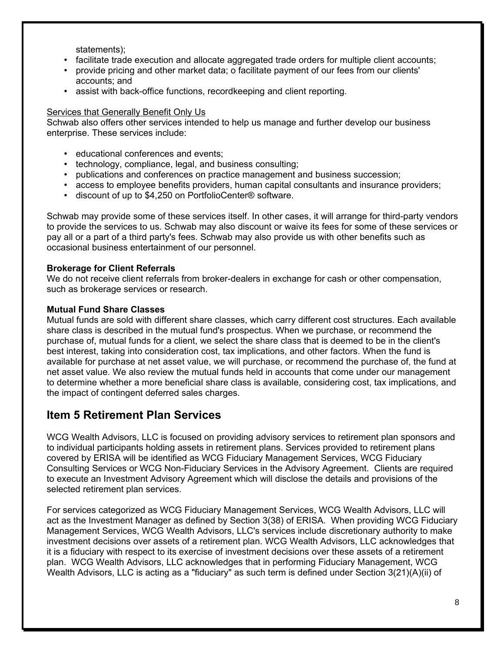statements);

- facilitate trade execution and allocate aggregated trade orders for multiple client accounts;
- provide pricing and other market data; o facilitate payment of our fees from our clients' accounts; and
- assist with back-office functions, recordkeeping and client reporting.

### Services that Generally Benefit Only Us

Schwab also offers other services intended to help us manage and further develop our business enterprise. These services include:

- educational conferences and events;
- technology, compliance, legal, and business consulting;
- publications and conferences on practice management and business succession;
- access to employee benefits providers, human capital consultants and insurance providers;
- discount of up to \$4,250 on PortfolioCenter® software.

Schwab may provide some of these services itself. In other cases, it will arrange for third-party vendors to provide the services to us. Schwab may also discount or waive its fees for some of these services or pay all or a part of a third party's fees. Schwab may also provide us with other benefits such as occasional business entertainment of our personnel.

### **Brokerage for Client Referrals**

We do not receive client referrals from broker-dealers in exchange for cash or other compensation, such as brokerage services or research.

### **Mutual Fund Share Classes**

Mutual funds are sold with different share classes, which carry different cost structures. Each available share class is described in the mutual fund's prospectus. When we purchase, or recommend the purchase of, mutual funds for a client, we select the share class that is deemed to be in the client's best interest, taking into consideration cost, tax implications, and other factors. When the fund is available for purchase at net asset value, we will purchase, or recommend the purchase of, the fund at net asset value. We also review the mutual funds held in accounts that come under our management to determine whether a more beneficial share class is available, considering cost, tax implications, and the impact of contingent deferred sales charges.

## **Item 5 Retirement Plan Services**

WCG Wealth Advisors, LLC is focused on providing advisory services to retirement plan sponsors and to individual participants holding assets in retirement plans. Services provided to retirement plans covered by ERISA will be identified as WCG Fiduciary Management Services, WCG Fiduciary Consulting Services or WCG Non-Fiduciary Services in the Advisory Agreement. Clients are required to execute an Investment Advisory Agreement which will disclose the details and provisions of the selected retirement plan services.

For services categorized as WCG Fiduciary Management Services, WCG Wealth Advisors, LLC will act as the Investment Manager as defined by Section 3(38) of ERISA. When providing WCG Fiduciary Management Services, WCG Wealth Advisors, LLC's services include discretionary authority to make investment decisions over assets of a retirement plan. WCG Wealth Advisors, LLC acknowledges that it is a fiduciary with respect to its exercise of investment decisions over these assets of a retirement plan. WCG Wealth Advisors, LLC acknowledges that in performing Fiduciary Management, WCG Wealth Advisors, LLC is acting as a "fiduciary" as such term is defined under Section 3(21)(A)(ii) of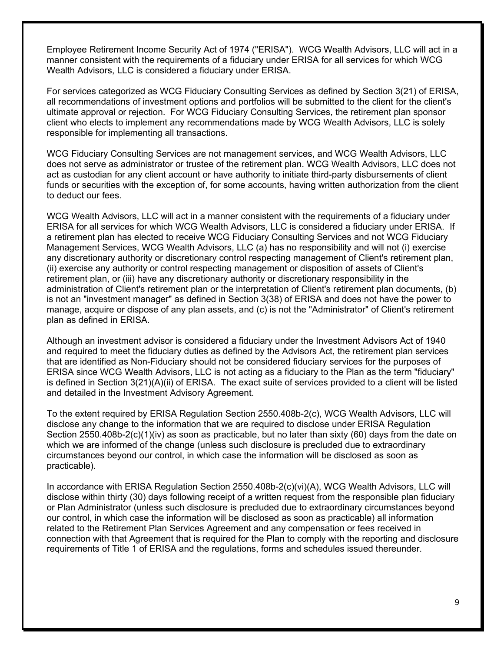Employee Retirement Income Security Act of 1974 ("ERISA"). WCG Wealth Advisors, LLC will act in a manner consistent with the requirements of a fiduciary under ERISA for all services for which WCG Wealth Advisors, LLC is considered a fiduciary under ERISA.

For services categorized as WCG Fiduciary Consulting Services as defined by Section 3(21) of ERISA, all recommendations of investment options and portfolios will be submitted to the client for the client's ultimate approval or rejection. For WCG Fiduciary Consulting Services, the retirement plan sponsor client who elects to implement any recommendations made by WCG Wealth Advisors, LLC is solely responsible for implementing all transactions.

WCG Fiduciary Consulting Services are not management services, and WCG Wealth Advisors, LLC does not serve as administrator or trustee of the retirement plan. WCG Wealth Advisors, LLC does not act as custodian for any client account or have authority to initiate third-party disbursements of client funds or securities with the exception of, for some accounts, having written authorization from the client to deduct our fees.

WCG Wealth Advisors, LLC will act in a manner consistent with the requirements of a fiduciary under ERISA for all services for which WCG Wealth Advisors, LLC is considered a fiduciary under ERISA. If a retirement plan has elected to receive WCG Fiduciary Consulting Services and not WCG Fiduciary Management Services, WCG Wealth Advisors, LLC (a) has no responsibility and will not (i) exercise any discretionary authority or discretionary control respecting management of Client's retirement plan, (ii) exercise any authority or control respecting management or disposition of assets of Client's retirement plan, or (iii) have any discretionary authority or discretionary responsibility in the administration of Client's retirement plan or the interpretation of Client's retirement plan documents, (b) is not an "investment manager" as defined in Section 3(38) of ERISA and does not have the power to manage, acquire or dispose of any plan assets, and (c) is not the "Administrator" of Client's retirement plan as defined in ERISA.

Although an investment advisor is considered a fiduciary under the Investment Advisors Act of 1940 and required to meet the fiduciary duties as defined by the Advisors Act, the retirement plan services that are identified as Non-Fiduciary should not be considered fiduciary services for the purposes of ERISA since WCG Wealth Advisors, LLC is not acting as a fiduciary to the Plan as the term "fiduciary" is defined in Section 3(21)(A)(ii) of ERISA. The exact suite of services provided to a client will be listed and detailed in the Investment Advisory Agreement.

To the extent required by ERISA Regulation Section 2550.408b-2(c), WCG Wealth Advisors, LLC will disclose any change to the information that we are required to disclose under ERISA Regulation Section 2550.408b-2(c)(1)(iv) as soon as practicable, but no later than sixty (60) days from the date on which we are informed of the change (unless such disclosure is precluded due to extraordinary circumstances beyond our control, in which case the information will be disclosed as soon as practicable).

In accordance with ERISA Regulation Section 2550.408b-2(c)(vi)(A), WCG Wealth Advisors, LLC will disclose within thirty (30) days following receipt of a written request from the responsible plan fiduciary or Plan Administrator (unless such disclosure is precluded due to extraordinary circumstances beyond our control, in which case the information will be disclosed as soon as practicable) all information related to the Retirement Plan Services Agreement and any compensation or fees received in connection with that Agreement that is required for the Plan to comply with the reporting and disclosure requirements of Title 1 of ERISA and the regulations, forms and schedules issued thereunder.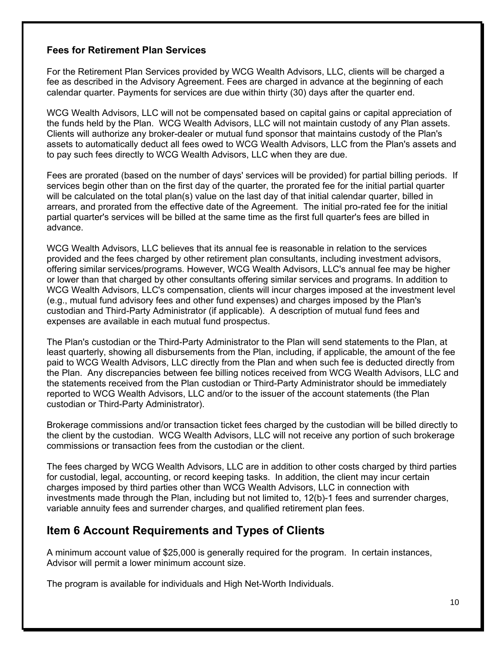## **Fees for Retirement Plan Services**

For the Retirement Plan Services provided by WCG Wealth Advisors, LLC, clients will be charged a fee as described in the Advisory Agreement. Fees are charged in advance at the beginning of each calendar quarter. Payments for services are due within thirty (30) days after the quarter end.

WCG Wealth Advisors, LLC will not be compensated based on capital gains or capital appreciation of the funds held by the Plan. WCG Wealth Advisors, LLC will not maintain custody of any Plan assets. Clients will authorize any broker-dealer or mutual fund sponsor that maintains custody of the Plan's assets to automatically deduct all fees owed to WCG Wealth Advisors, LLC from the Plan's assets and to pay such fees directly to WCG Wealth Advisors, LLC when they are due.

Fees are prorated (based on the number of days' services will be provided) for partial billing periods. If services begin other than on the first day of the quarter, the prorated fee for the initial partial quarter will be calculated on the total plan(s) value on the last day of that initial calendar quarter, billed in arrears, and prorated from the effective date of the Agreement. The initial pro-rated fee for the initial partial quarter's services will be billed at the same time as the first full quarter's fees are billed in advance.

WCG Wealth Advisors, LLC believes that its annual fee is reasonable in relation to the services provided and the fees charged by other retirement plan consultants, including investment advisors, offering similar services/programs. However, WCG Wealth Advisors, LLC's annual fee may be higher or lower than that charged by other consultants offering similar services and programs. In addition to WCG Wealth Advisors, LLC's compensation, clients will incur charges imposed at the investment level (e.g., mutual fund advisory fees and other fund expenses) and charges imposed by the Plan's custodian and Third-Party Administrator (if applicable). A description of mutual fund fees and expenses are available in each mutual fund prospectus.

The Plan's custodian or the Third-Party Administrator to the Plan will send statements to the Plan, at least quarterly, showing all disbursements from the Plan, including, if applicable, the amount of the fee paid to WCG Wealth Advisors, LLC directly from the Plan and when such fee is deducted directly from the Plan. Any discrepancies between fee billing notices received from WCG Wealth Advisors, LLC and the statements received from the Plan custodian or Third-Party Administrator should be immediately reported to WCG Wealth Advisors, LLC and/or to the issuer of the account statements (the Plan custodian or Third-Party Administrator).

Brokerage commissions and/or transaction ticket fees charged by the custodian will be billed directly to the client by the custodian. WCG Wealth Advisors, LLC will not receive any portion of such brokerage commissions or transaction fees from the custodian or the client.

The fees charged by WCG Wealth Advisors, LLC are in addition to other costs charged by third parties for custodial, legal, accounting, or record keeping tasks. In addition, the client may incur certain charges imposed by third parties other than WCG Wealth Advisors, LLC in connection with investments made through the Plan, including but not limited to, 12(b)-1 fees and surrender charges, variable annuity fees and surrender charges, and qualified retirement plan fees.

## **Item 6 Account Requirements and Types of Clients**

A minimum account value of \$25,000 is generally required for the program. In certain instances, Advisor will permit a lower minimum account size.

The program is available for individuals and High Net-Worth Individuals.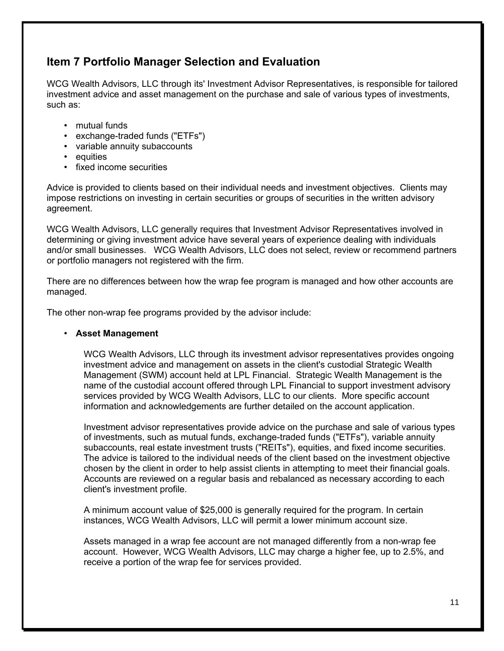## **Item 7 Portfolio Manager Selection and Evaluation**

WCG Wealth Advisors, LLC through its' Investment Advisor Representatives, is responsible for tailored investment advice and asset management on the purchase and sale of various types of investments, such as:

- mutual funds
- exchange-traded funds ("ETFs")
- variable annuity subaccounts
- equities
- fixed income securities

Advice is provided to clients based on their individual needs and investment objectives. Clients may impose restrictions on investing in certain securities or groups of securities in the written advisory agreement.

WCG Wealth Advisors, LLC generally requires that Investment Advisor Representatives involved in determining or giving investment advice have several years of experience dealing with individuals and/or small businesses. WCG Wealth Advisors, LLC does not select, review or recommend partners or portfolio managers not registered with the firm.

There are no differences between how the wrap fee program is managed and how other accounts are managed.

The other non-wrap fee programs provided by the advisor include:

#### • **Asset Management**

WCG Wealth Advisors, LLC through its investment advisor representatives provides ongoing investment advice and management on assets in the client's custodial Strategic Wealth Management (SWM) account held at LPL Financial. Strategic Wealth Management is the name of the custodial account offered through LPL Financial to support investment advisory services provided by WCG Wealth Advisors, LLC to our clients. More specific account information and acknowledgements are further detailed on the account application.

Investment advisor representatives provide advice on the purchase and sale of various types of investments, such as mutual funds, exchange-traded funds ("ETFs"), variable annuity subaccounts, real estate investment trusts ("REITs"), equities, and fixed income securities. The advice is tailored to the individual needs of the client based on the investment objective chosen by the client in order to help assist clients in attempting to meet their financial goals. Accounts are reviewed on a regular basis and rebalanced as necessary according to each client's investment profile.

A minimum account value of \$25,000 is generally required for the program. In certain instances, WCG Wealth Advisors, LLC will permit a lower minimum account size.

Assets managed in a wrap fee account are not managed differently from a non-wrap fee account. However, WCG Wealth Advisors, LLC may charge a higher fee, up to 2.5%, and receive a portion of the wrap fee for services provided.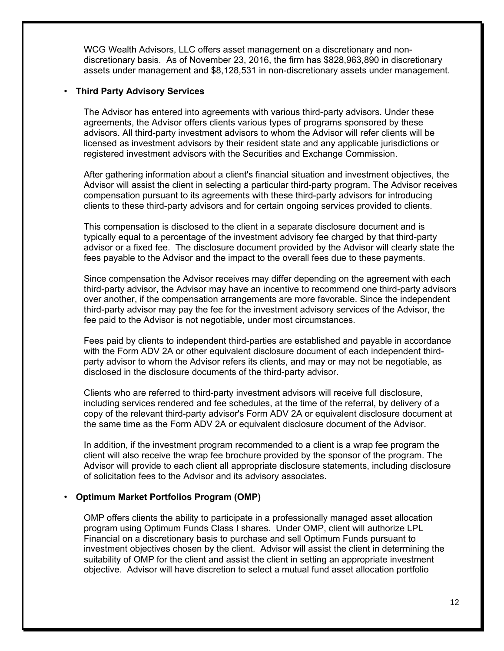WCG Wealth Advisors, LLC offers asset management on a discretionary and nondiscretionary basis. As of November 23, 2016, the firm has \$828,963,890 in discretionary assets under management and \$8,128,531 in non-discretionary assets under management.

#### • **Third Party Advisory Services**

The Advisor has entered into agreements with various third-party advisors. Under these agreements, the Advisor offers clients various types of programs sponsored by these advisors. All third-party investment advisors to whom the Advisor will refer clients will be licensed as investment advisors by their resident state and any applicable jurisdictions or registered investment advisors with the Securities and Exchange Commission.

After gathering information about a client's financial situation and investment objectives, the Advisor will assist the client in selecting a particular third-party program. The Advisor receives compensation pursuant to its agreements with these third-party advisors for introducing clients to these third-party advisors and for certain ongoing services provided to clients.

This compensation is disclosed to the client in a separate disclosure document and is typically equal to a percentage of the investment advisory fee charged by that third-party advisor or a fixed fee. The disclosure document provided by the Advisor will clearly state the fees payable to the Advisor and the impact to the overall fees due to these payments.

Since compensation the Advisor receives may differ depending on the agreement with each third-party advisor, the Advisor may have an incentive to recommend one third-party advisors over another, if the compensation arrangements are more favorable. Since the independent third-party advisor may pay the fee for the investment advisory services of the Advisor, the fee paid to the Advisor is not negotiable, under most circumstances.

Fees paid by clients to independent third-parties are established and payable in accordance with the Form ADV 2A or other equivalent disclosure document of each independent thirdparty advisor to whom the Advisor refers its clients, and may or may not be negotiable, as disclosed in the disclosure documents of the third-party advisor.

Clients who are referred to third-party investment advisors will receive full disclosure, including services rendered and fee schedules, at the time of the referral, by delivery of a copy of the relevant third-party advisor's Form ADV 2A or equivalent disclosure document at the same time as the Form ADV 2A or equivalent disclosure document of the Advisor.

In addition, if the investment program recommended to a client is a wrap fee program the client will also receive the wrap fee brochure provided by the sponsor of the program. The Advisor will provide to each client all appropriate disclosure statements, including disclosure of solicitation fees to the Advisor and its advisory associates.

#### • **Optimum Market Portfolios Program (OMP)**

OMP offers clients the ability to participate in a professionally managed asset allocation program using Optimum Funds Class I shares. Under OMP, client will authorize LPL Financial on a discretionary basis to purchase and sell Optimum Funds pursuant to investment objectives chosen by the client. Advisor will assist the client in determining the suitability of OMP for the client and assist the client in setting an appropriate investment objective. Advisor will have discretion to select a mutual fund asset allocation portfolio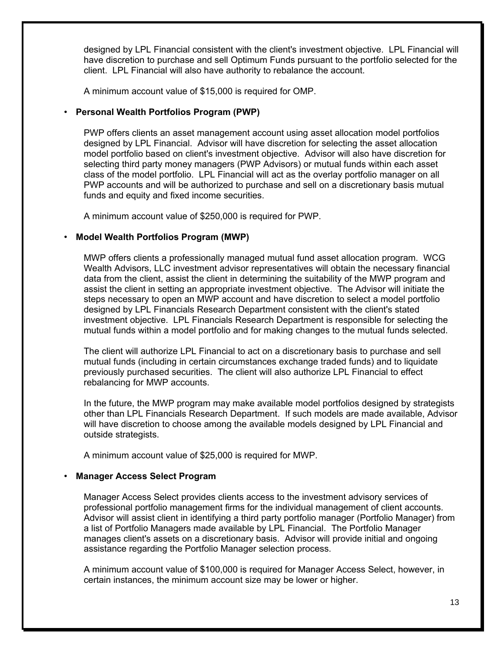designed by LPL Financial consistent with the client's investment objective. LPL Financial will have discretion to purchase and sell Optimum Funds pursuant to the portfolio selected for the client. LPL Financial will also have authority to rebalance the account.

A minimum account value of \$15,000 is required for OMP.

#### • **Personal Wealth Portfolios Program (PWP)**

PWP offers clients an asset management account using asset allocation model portfolios designed by LPL Financial. Advisor will have discretion for selecting the asset allocation model portfolio based on client's investment objective. Advisor will also have discretion for selecting third party money managers (PWP Advisors) or mutual funds within each asset class of the model portfolio. LPL Financial will act as the overlay portfolio manager on all PWP accounts and will be authorized to purchase and sell on a discretionary basis mutual funds and equity and fixed income securities.

A minimum account value of \$250,000 is required for PWP.

#### • **Model Wealth Portfolios Program (MWP)**

MWP offers clients a professionally managed mutual fund asset allocation program. WCG Wealth Advisors, LLC investment advisor representatives will obtain the necessary financial data from the client, assist the client in determining the suitability of the MWP program and assist the client in setting an appropriate investment objective. The Advisor will initiate the steps necessary to open an MWP account and have discretion to select a model portfolio designed by LPL Financials Research Department consistent with the client's stated investment objective. LPL Financials Research Department is responsible for selecting the mutual funds within a model portfolio and for making changes to the mutual funds selected.

The client will authorize LPL Financial to act on a discretionary basis to purchase and sell mutual funds (including in certain circumstances exchange traded funds) and to liquidate previously purchased securities. The client will also authorize LPL Financial to effect rebalancing for MWP accounts.

In the future, the MWP program may make available model portfolios designed by strategists other than LPL Financials Research Department. If such models are made available, Advisor will have discretion to choose among the available models designed by LPL Financial and outside strategists.

A minimum account value of \$25,000 is required for MWP.

#### • **Manager Access Select Program**

Manager Access Select provides clients access to the investment advisory services of professional portfolio management firms for the individual management of client accounts. Advisor will assist client in identifying a third party portfolio manager (Portfolio Manager) from a list of Portfolio Managers made available by LPL Financial. The Portfolio Manager manages client's assets on a discretionary basis. Advisor will provide initial and ongoing assistance regarding the Portfolio Manager selection process.

A minimum account value of \$100,000 is required for Manager Access Select, however, in certain instances, the minimum account size may be lower or higher.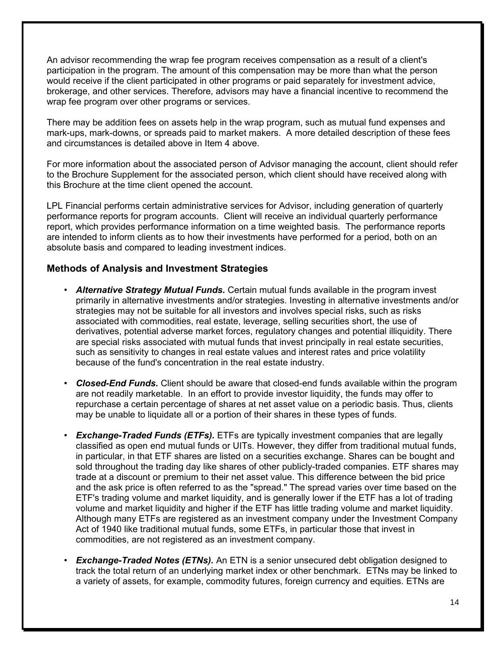An advisor recommending the wrap fee program receives compensation as a result of a client's participation in the program. The amount of this compensation may be more than what the person would receive if the client participated in other programs or paid separately for investment advice, brokerage, and other services. Therefore, advisors may have a financial incentive to recommend the wrap fee program over other programs or services.

There may be addition fees on assets help in the wrap program, such as mutual fund expenses and mark-ups, mark-downs, or spreads paid to market makers. A more detailed description of these fees and circumstances is detailed above in Item 4 above.

For more information about the associated person of Advisor managing the account, client should refer to the Brochure Supplement for the associated person, which client should have received along with this Brochure at the time client opened the account.

LPL Financial performs certain administrative services for Advisor, including generation of quarterly performance reports for program accounts. Client will receive an individual quarterly performance report, which provides performance information on a time weighted basis. The performance reports are intended to inform clients as to how their investments have performed for a period, both on an absolute basis and compared to leading investment indices.

### **Methods of Analysis and Investment Strategies**

- *Alternative Strategy Mutual Funds.* Certain mutual funds available in the program invest primarily in alternative investments and/or strategies. Investing in alternative investments and/or strategies may not be suitable for all investors and involves special risks, such as risks associated with commodities, real estate, leverage, selling securities short, the use of derivatives, potential adverse market forces, regulatory changes and potential illiquidity. There are special risks associated with mutual funds that invest principally in real estate securities, such as sensitivity to changes in real estate values and interest rates and price volatility because of the fund's concentration in the real estate industry.
- *Closed-End Funds.* Client should be aware that closed-end funds available within the program are not readily marketable. In an effort to provide investor liquidity, the funds may offer to repurchase a certain percentage of shares at net asset value on a periodic basis. Thus, clients may be unable to liquidate all or a portion of their shares in these types of funds.
- *Exchange-Traded Funds (ETFs).* ETFs are typically investment companies that are legally classified as open end mutual funds or UITs. However, they differ from traditional mutual funds, in particular, in that ETF shares are listed on a securities exchange. Shares can be bought and sold throughout the trading day like shares of other publicly-traded companies. ETF shares may trade at a discount or premium to their net asset value. This difference between the bid price and the ask price is often referred to as the "spread." The spread varies over time based on the ETF's trading volume and market liquidity, and is generally lower if the ETF has a lot of trading volume and market liquidity and higher if the ETF has little trading volume and market liquidity. Although many ETFs are registered as an investment company under the Investment Company Act of 1940 like traditional mutual funds, some ETFs, in particular those that invest in commodities, are not registered as an investment company.
- *Exchange-Traded Notes (ETNs).* An ETN is a senior unsecured debt obligation designed to track the total return of an underlying market index or other benchmark. ETNs may be linked to a variety of assets, for example, commodity futures, foreign currency and equities. ETNs are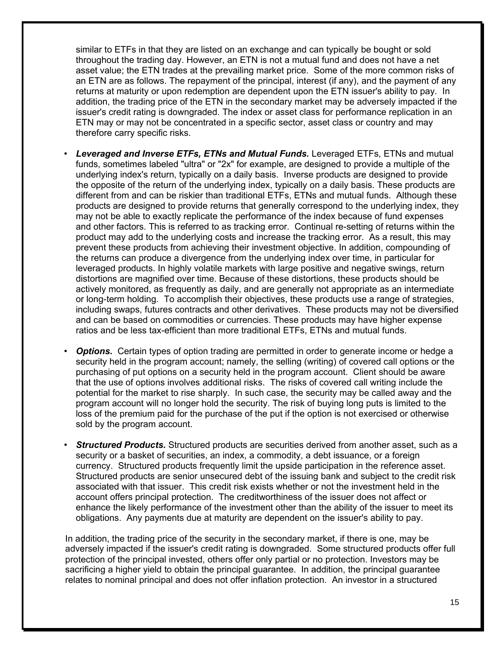similar to ETFs in that they are listed on an exchange and can typically be bought or sold throughout the trading day. However, an ETN is not a mutual fund and does not have a net asset value; the ETN trades at the prevailing market price. Some of the more common risks of an ETN are as follows. The repayment of the principal, interest (if any), and the payment of any returns at maturity or upon redemption are dependent upon the ETN issuer's ability to pay. In addition, the trading price of the ETN in the secondary market may be adversely impacted if the issuer's credit rating is downgraded. The index or asset class for performance replication in an ETN may or may not be concentrated in a specific sector, asset class or country and may therefore carry specific risks.

- *Leveraged and Inverse ETFs, ETNs and Mutual Funds.* Leveraged ETFs, ETNs and mutual funds, sometimes labeled "ultra" or "2x" for example, are designed to provide a multiple of the underlying index's return, typically on a daily basis. Inverse products are designed to provide the opposite of the return of the underlying index, typically on a daily basis. These products are different from and can be riskier than traditional ETFs, ETNs and mutual funds. Although these products are designed to provide returns that generally correspond to the underlying index, they may not be able to exactly replicate the performance of the index because of fund expenses and other factors. This is referred to as tracking error. Continual re-setting of returns within the product may add to the underlying costs and increase the tracking error. As a result, this may prevent these products from achieving their investment objective. In addition, compounding of the returns can produce a divergence from the underlying index over time, in particular for leveraged products. In highly volatile markets with large positive and negative swings, return distortions are magnified over time. Because of these distortions, these products should be actively monitored, as frequently as daily, and are generally not appropriate as an intermediate or long-term holding. To accomplish their objectives, these products use a range of strategies, including swaps, futures contracts and other derivatives. These products may not be diversified and can be based on commodities or currencies. These products may have higher expense ratios and be less tax-efficient than more traditional ETFs, ETNs and mutual funds.
- *Options.* Certain types of option trading are permitted in order to generate income or hedge a security held in the program account; namely, the selling (writing) of covered call options or the purchasing of put options on a security held in the program account. Client should be aware that the use of options involves additional risks. The risks of covered call writing include the potential for the market to rise sharply. In such case, the security may be called away and the program account will no longer hold the security. The risk of buying long puts is limited to the loss of the premium paid for the purchase of the put if the option is not exercised or otherwise sold by the program account.
- *Structured Products.* Structured products are securities derived from another asset, such as a security or a basket of securities, an index, a commodity, a debt issuance, or a foreign currency. Structured products frequently limit the upside participation in the reference asset. Structured products are senior unsecured debt of the issuing bank and subject to the credit risk associated with that issuer. This credit risk exists whether or not the investment held in the account offers principal protection. The creditworthiness of the issuer does not affect or enhance the likely performance of the investment other than the ability of the issuer to meet its obligations. Any payments due at maturity are dependent on the issuer's ability to pay.

In addition, the trading price of the security in the secondary market, if there is one, may be adversely impacted if the issuer's credit rating is downgraded. Some structured products offer full protection of the principal invested, others offer only partial or no protection. Investors may be sacrificing a higher yield to obtain the principal guarantee. In addition, the principal guarantee relates to nominal principal and does not offer inflation protection. An investor in a structured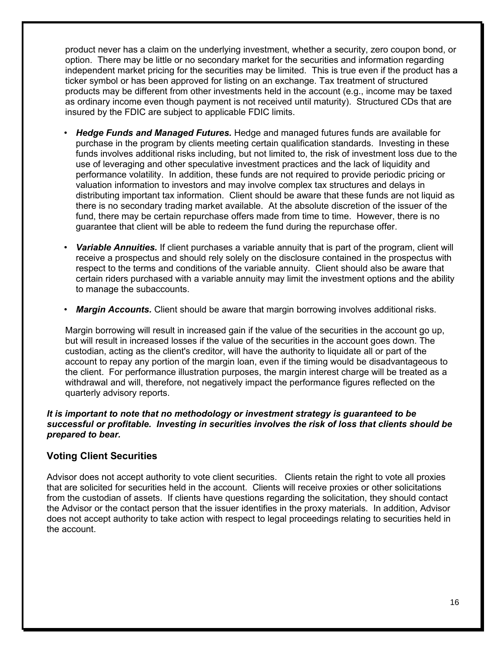product never has a claim on the underlying investment, whether a security, zero coupon bond, or option. There may be little or no secondary market for the securities and information regarding independent market pricing for the securities may be limited. This is true even if the product has a ticker symbol or has been approved for listing on an exchange. Tax treatment of structured products may be different from other investments held in the account (e.g., income may be taxed as ordinary income even though payment is not received until maturity). Structured CDs that are insured by the FDIC are subject to applicable FDIC limits.

- *Hedge Funds and Managed Futures.* Hedge and managed futures funds are available for purchase in the program by clients meeting certain qualification standards. Investing in these funds involves additional risks including, but not limited to, the risk of investment loss due to the use of leveraging and other speculative investment practices and the lack of liquidity and performance volatility. In addition, these funds are not required to provide periodic pricing or valuation information to investors and may involve complex tax structures and delays in distributing important tax information. Client should be aware that these funds are not liquid as there is no secondary trading market available. At the absolute discretion of the issuer of the fund, there may be certain repurchase offers made from time to time. However, there is no guarantee that client will be able to redeem the fund during the repurchase offer.
- *Variable Annuities.* If client purchases a variable annuity that is part of the program, client will receive a prospectus and should rely solely on the disclosure contained in the prospectus with respect to the terms and conditions of the variable annuity. Client should also be aware that certain riders purchased with a variable annuity may limit the investment options and the ability to manage the subaccounts.
- *Margin Accounts.* Client should be aware that margin borrowing involves additional risks.

Margin borrowing will result in increased gain if the value of the securities in the account go up, but will result in increased losses if the value of the securities in the account goes down. The custodian, acting as the client's creditor, will have the authority to liquidate all or part of the account to repay any portion of the margin loan, even if the timing would be disadvantageous to the client. For performance illustration purposes, the margin interest charge will be treated as a withdrawal and will, therefore, not negatively impact the performance figures reflected on the quarterly advisory reports.

#### *It is important to note that no methodology or investment strategy is guaranteed to be successful or profitable. Investing in securities involves the risk of loss that clients should be prepared to bear.*

## **Voting Client Securities**

Advisor does not accept authority to vote client securities. Clients retain the right to vote all proxies that are solicited for securities held in the account. Clients will receive proxies or other solicitations from the custodian of assets. If clients have questions regarding the solicitation, they should contact the Advisor or the contact person that the issuer identifies in the proxy materials. In addition, Advisor does not accept authority to take action with respect to legal proceedings relating to securities held in the account.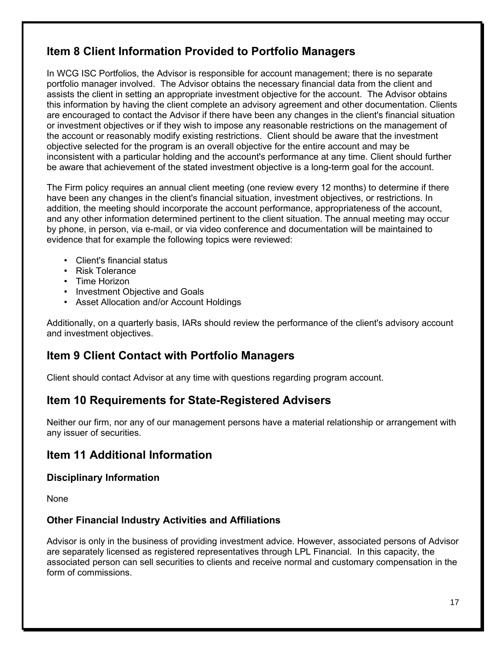## **Item 8 Client Information Provided to Portfolio Managers**

In WCG ISC Portfolios, the Advisor is responsible for account management; there is no separate portfolio manager involved. The Advisor obtains the necessary financial data from the client and assists the client in setting an appropriate investment objective for the account. The Advisor obtains this information by having the client complete an advisory agreement and other documentation. Clients are encouraged to contact the Advisor if there have been any changes in the client's financial situation or investment objectives or if they wish to impose any reasonable restrictions on the management of the account or reasonably modify existing restrictions. Client should be aware that the investment objective selected for the program is an overall objective for the entire account and may be inconsistent with a particular holding and the account's performance at any time. Client should further be aware that achievement of the stated investment objective is a long-term goal for the account.

The Firm policy requires an annual client meeting (one review every 12 months) to determine if there have been any changes in the client's financial situation, investment objectives, or restrictions. In addition, the meeting should incorporate the account performance, appropriateness of the account, and any other information determined pertinent to the client situation. The annual meeting may occur by phone, in person, via e-mail, or via video conference and documentation will be maintained to evidence that for example the following topics were reviewed:

- Client's financial status
- Risk Tolerance
- Time Horizon
- Investment Objective and Goals
- Asset Allocation and/or Account Holdings

Additionally, on a quarterly basis, IARs should review the performance of the client's advisory account and investment objectives.

## **Item 9 Client Contact with Portfolio Managers**

Client should contact Advisor at any time with questions regarding program account.

## **Item 10 Requirements for State-Registered Advisers**

Neither our firm, nor any of our management persons have a material relationship or arrangement with any issuer of securities.

## **Item 11 Additional Information**

## **Disciplinary Information**

None

## **Other Financial Industry Activities and Affiliations**

Advisor is only in the business of providing investment advice. However, associated persons of Advisor are separately licensed as registered representatives through LPL Financial. In this capacity, the associated person can sell securities to clients and receive normal and customary compensation in the form of commissions.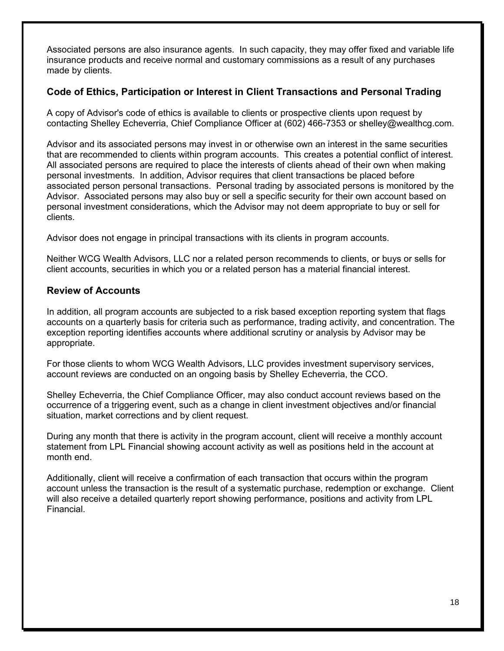Associated persons are also insurance agents. In such capacity, they may offer fixed and variable life insurance products and receive normal and customary commissions as a result of any purchases made by clients.

### **Code of Ethics, Participation or Interest in Client Transactions and Personal Trading**

A copy of Advisor's code of ethics is available to clients or prospective clients upon request by contacting Shelley Echeverria, Chief Compliance Officer at (602) 466-7353 or shelley@wealthcg.com.

Advisor and its associated persons may invest in or otherwise own an interest in the same securities that are recommended to clients within program accounts. This creates a potential conflict of interest. All associated persons are required to place the interests of clients ahead of their own when making personal investments. In addition, Advisor requires that client transactions be placed before associated person personal transactions. Personal trading by associated persons is monitored by the Advisor. Associated persons may also buy or sell a specific security for their own account based on personal investment considerations, which the Advisor may not deem appropriate to buy or sell for clients.

Advisor does not engage in principal transactions with its clients in program accounts.

Neither WCG Wealth Advisors, LLC nor a related person recommends to clients, or buys or sells for client accounts, securities in which you or a related person has a material financial interest.

### **Review of Accounts**

In addition, all program accounts are subjected to a risk based exception reporting system that flags accounts on a quarterly basis for criteria such as performance, trading activity, and concentration. The exception reporting identifies accounts where additional scrutiny or analysis by Advisor may be appropriate.

For those clients to whom WCG Wealth Advisors, LLC provides investment supervisory services, account reviews are conducted on an ongoing basis by Shelley Echeverria, the CCO.

Shelley Echeverria, the Chief Compliance Officer, may also conduct account reviews based on the occurrence of a triggering event, such as a change in client investment objectives and/or financial situation, market corrections and by client request.

During any month that there is activity in the program account, client will receive a monthly account statement from LPL Financial showing account activity as well as positions held in the account at month end.

Additionally, client will receive a confirmation of each transaction that occurs within the program account unless the transaction is the result of a systematic purchase, redemption or exchange. Client will also receive a detailed quarterly report showing performance, positions and activity from LPL Financial.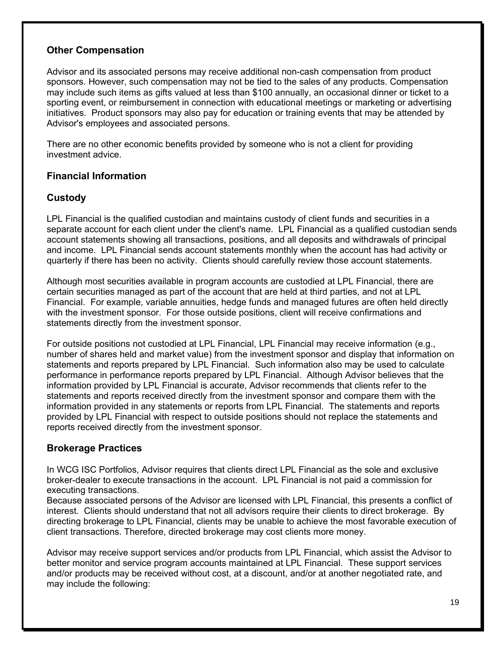## **Other Compensation**

Advisor and its associated persons may receive additional non-cash compensation from product sponsors. However, such compensation may not be tied to the sales of any products. Compensation may include such items as gifts valued at less than \$100 annually, an occasional dinner or ticket to a sporting event, or reimbursement in connection with educational meetings or marketing or advertising initiatives. Product sponsors may also pay for education or training events that may be attended by Advisor's employees and associated persons.

There are no other economic benefits provided by someone who is not a client for providing investment advice.

## **Financial Information**

## **Custody**

LPL Financial is the qualified custodian and maintains custody of client funds and securities in a separate account for each client under the client's name. LPL Financial as a qualified custodian sends account statements showing all transactions, positions, and all deposits and withdrawals of principal and income. LPL Financial sends account statements monthly when the account has had activity or quarterly if there has been no activity. Clients should carefully review those account statements.

Although most securities available in program accounts are custodied at LPL Financial, there are certain securities managed as part of the account that are held at third parties, and not at LPL Financial. For example, variable annuities, hedge funds and managed futures are often held directly with the investment sponsor. For those outside positions, client will receive confirmations and statements directly from the investment sponsor.

For outside positions not custodied at LPL Financial, LPL Financial may receive information (e.g., number of shares held and market value) from the investment sponsor and display that information on statements and reports prepared by LPL Financial. Such information also may be used to calculate performance in performance reports prepared by LPL Financial. Although Advisor believes that the information provided by LPL Financial is accurate, Advisor recommends that clients refer to the statements and reports received directly from the investment sponsor and compare them with the information provided in any statements or reports from LPL Financial. The statements and reports provided by LPL Financial with respect to outside positions should not replace the statements and reports received directly from the investment sponsor.

## **Brokerage Practices**

In WCG ISC Portfolios, Advisor requires that clients direct LPL Financial as the sole and exclusive broker-dealer to execute transactions in the account. LPL Financial is not paid a commission for executing transactions.

Because associated persons of the Advisor are licensed with LPL Financial, this presents a conflict of interest. Clients should understand that not all advisors require their clients to direct brokerage. By directing brokerage to LPL Financial, clients may be unable to achieve the most favorable execution of client transactions. Therefore, directed brokerage may cost clients more money.

Advisor may receive support services and/or products from LPL Financial, which assist the Advisor to better monitor and service program accounts maintained at LPL Financial. These support services and/or products may be received without cost, at a discount, and/or at another negotiated rate, and may include the following: